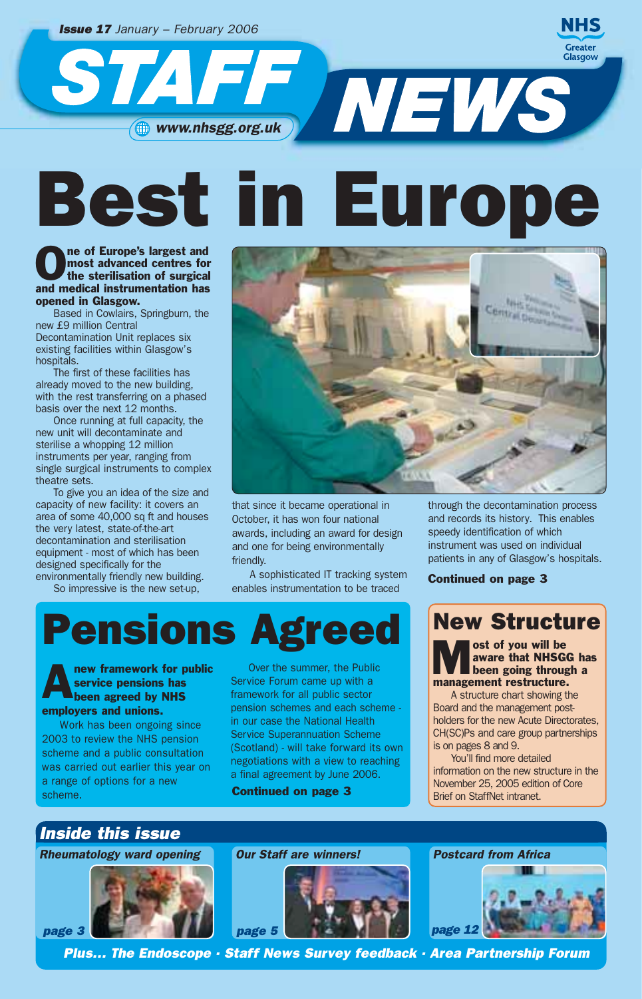*Issue 17 January – February 2006*

STAT

**NHS Greater** Glasgow

WEWS **www.nhsgg.org.uk** 

# Best in Europe

## The of Europe's largest and<br>
most advanced centres for<br>
the sterilisation of surgical most advanced centres for and medical instrumentation has opened in Glasgow.

Based in Cowlairs, Springburn, the new £9 million Central Decontamination Unit replaces six existing facilities within Glasgow's hospitals.

The first of these facilities has already moved to the new building, with the rest transferring on a phased basis over the next 12 months.

Once running at full capacity, the new unit will decontaminate and sterilise a whopping 12 million instruments per year, ranging from single surgical instruments to complex theatre sets.

To give you an idea of the size and capacity of new facility: it covers an area of some 40,000 sq ft and houses the very latest, state-of-the-art decontamination and sterilisation equipment - most of which has been designed specifically for the environmentally friendly new building.

So impressive is the new set-up,



that since it became operational in October, it has won four national awards, including an award for design and one for being environmentally friendly.

A sophisticated IT tracking system enables instrumentation to be traced

## Pensions Agreed

#### new framework for public service pensions has **been agreed by NHS** employers and unions.

Work has been ongoing since 2003 to review the NHS pension scheme and a public consultation was carried out earlier this year on a range of options for a new scheme.

Over the summer, the Public Service Forum came up with a framework for all public sector pension schemes and each scheme in our case the National Health Service Superannuation Scheme (Scotland) - will take forward its own negotiations with a view to reaching a final agreement by June 2006.

Continued on page 3

through the decontamination process and records its history. This enables speedy identification of which instrument was used on individual patients in any of Glasgow's hospitals.

Continued on page 3

## New Structure

Most of you will be<br>aware that NHSGG has<br>been going through a aware that NHSGG has management restructure.

A structure chart showing the Board and the management postholders for the new Acute Directorates, CH(SC)Ps and care group partnerships is on pages 8 and 9.

You'll find more detailed information on the new structure in the November 25, 2005 edition of Core Brief on StaffNet intranet.

## *Inside this issue*

*Rheumatology ward opening*





*Postcard from Africa*



*Plus… The Endoscope · Staff News Survey feedback · Area Partnership Forum*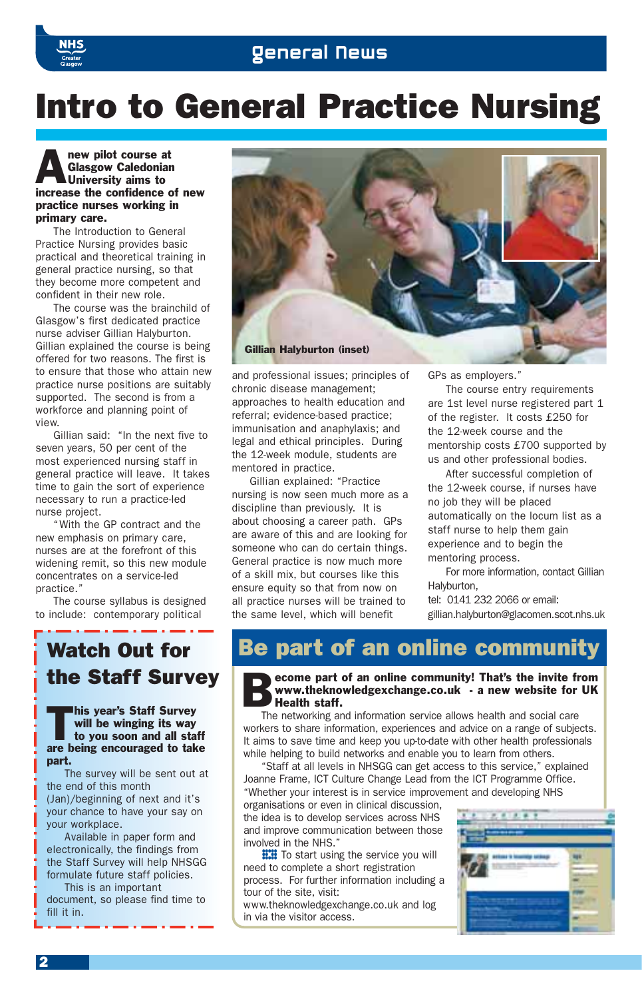## Intro to General Practice Nursing

#### **Analysis Clasgow Caledonian**<br>
University aims to Glasgow Caledonian University aims to increase the confidence of new practice nurses working in primary care.

The Introduction to General Practice Nursing provides basic practical and theoretical training in general practice nursing, so that they become more competent and confident in their new role.

The course was the brainchild of Glasgow's first dedicated practice nurse adviser Gillian Halyburton. Gillian explained the course is being offered for two reasons. The first is to ensure that those who attain new practice nurse positions are suitably supported. The second is from a workforce and planning point of view.

Gillian said: "In the next five to seven years, 50 per cent of the most experienced nursing staff in general practice will leave. It takes time to gain the sort of experience necessary to run a practice-led nurse project.

"With the GP contract and the new emphasis on primary care, nurses are at the forefront of this widening remit, so this new module concentrates on a service-led practice."

The course syllabus is designed to include: contemporary political

## Watch Out for the Staff Survey

#### This year's Staff Survey will be winging its way to you soon and all staff are being encouraged to take part.

The survey will be sent out at the end of this month (Jan)/beginning of next and it's your chance to have your say on your workplace.

Available in paper form and electronically, the findings from the Staff Survey will help NHSGG formulate future staff policies.

This is an important

document, so please find time to fill it in



and professional issues; principles of chronic disease management; approaches to health education and referral; evidence-based practice; immunisation and anaphylaxis; and legal and ethical principles. During the 12-week module, students are mentored in practice.

Gillian explained: "Practice nursing is now seen much more as a discipline than previously. It is about choosing a career path. GPs are aware of this and are looking for someone who can do certain things. General practice is now much more of a skill mix, but courses like this ensure equity so that from now on all practice nurses will be trained to the same level, which will benefit

GPs as employers."

The course entry requirements are 1st level nurse registered part 1 of the register. It costs £250 for the 12-week course and the mentorship costs £700 supported by us and other professional bodies.

After successful completion of the 12-week course, if nurses have no job they will be placed automatically on the locum list as a staff nurse to help them gain experience and to begin the mentoring process.

For more information, contact Gillian Halyburton,

tel: 0141 232 2066 or email: gillian.halyburton@glacomen.scot.nhs.uk

## Be part of an online community

Become part of an online community! That's the invite from<br>www.theknowledgexchange.co.uk - a new website for UK<br>Health staff. www.theknowledgexchange.co.uk - a new website for UK Health staff.

The networking and information service allows health and social care workers to share information, experiences and advice on a range of subjects. It aims to save time and keep you up-to-date with other health professionals while helping to build networks and enable you to learn from others.

"Staff at all levels in NHSGG can get access to this service," explained Joanne Frame, ICT Culture Change Lead from the ICT Programme Office. "Whether your interest is in service improvement and developing NHS

organisations or even in clinical discussion, the idea is to develop services across NHS and improve communication between those involved in the NHS."

**THE** To start using the service you will<br>need to complete a short registration<br>process. For further information including a need to complete a short registration tour of the site, visit:

www.theknowledgexchange.co.uk and log in via the visitor access.

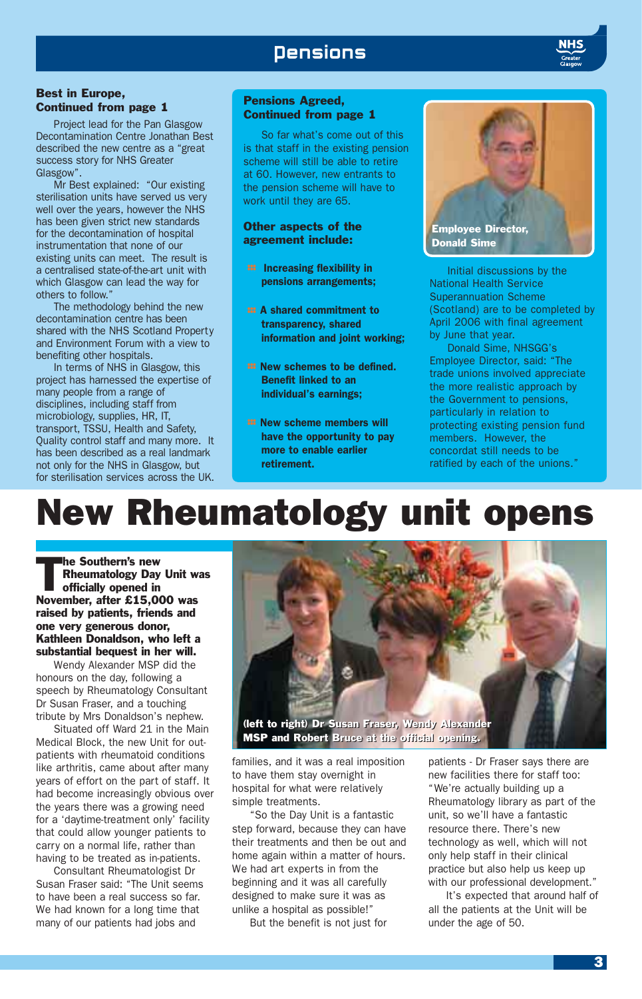## **Densions**

#### Best in Europe, Continued from page 1

Project lead for the Pan Glasgow Decontamination Centre Jonathan Best described the new centre as a "great success story for NHS Greater Glasgow".

Mr Best explained: "Our existing sterilisation units have served us very well over the years, however the NHS has been given strict new standards for the decontamination of hospital instrumentation that none of our existing units can meet. The result is a centralised state-of-the-art unit with which Glasgow can lead the way for others to follow."

The methodology behind the new decontamination centre has been shared with the NHS Scotland Property and Environment Forum with a view to benefiting other hospitals.

In terms of NHS in Glasgow, this project has harnessed the expertise of many people from a range of disciplines, including staff from microbiology, supplies, HR, IT, transport, TSSU, Health and Safety, Quality control staff and many more. It has been described as a real landmark not only for the NHS in Glasgow, but for sterilisation services across the UK.

#### Pensions Agreed, Continued from page 1

So far what's come out of this is that staff in the existing pension scheme will still be able to retire at 60. However, new entrants to the pension scheme will have to work until they are 65.

#### Other aspects of the agreement include:

- **:::** Increasing flexibility in pensions arrangements;
- **EXECUTE: A shared commitment to** transparency, shared information and joint working;
- **EXECUTE:** New schemes to be defined. Benefit linked to an individual's earnings;
- **E22 New scheme members will** have the opportunity to pay more to enable earlier retirement.



Initial discussions by the National Health Service Superannuation Scheme (Scotland) are to be completed by April 2006 with final agreement by June that year.

Donald Sime, NHSGG's Employee Director, said: "The trade unions involved appreciate the more realistic approach by the Government to pensions, particularly in relation to protecting existing pension fund members. However, the concordat still needs to be ratified by each of the unions."

## New Rheumatology unit opens

The Southern's new<br>
Rheumatology Day<br>
officially opened in Rheumatology Day Unit was November, after £15,000 was raised by patients, friends and one very generous donor, Kathleen Donaldson, who left a substantial bequest in her will.

Wendy Alexander MSP did the honours on the day, following a speech by Rheumatology Consultant Dr Susan Fraser, and a touching tribute by Mrs Donaldson's nephew.

Situated off Ward 21 in the Main Medical Block, the new Unit for outpatients with rheumatoid conditions like arthritis, came about after many years of effort on the part of staff. It had become increasingly obvious over the years there was a growing need for a 'daytime-treatment only' facility that could allow younger patients to carry on a normal life, rather than having to be treated as in-patients.

Consultant Rheumatologist Dr Susan Fraser said: "The Unit seems to have been a real success so far. We had known for a long time that many of our patients had jobs and



MSP and Robert Bruce at the official opening. MSP and Robert Bruce at the official opening.

families, and it was a real imposition to have them stay overnight in hospital for what were relatively simple treatments.

"So the Day Unit is a fantastic step forward, because they can have their treatments and then be out and home again within a matter of hours. We had art experts in from the beginning and it was all carefully designed to make sure it was as unlike a hospital as possible!"

But the benefit is not just for

patients - Dr Fraser says there are new facilities there for staff too: "We're actually building up a Rheumatology library as part of the unit, so we'll have a fantastic resource there. There's new technology as well, which will not only help staff in their clinical practice but also help us keep up with our professional development."

It's expected that around half of all the patients at the Unit will be under the age of 50.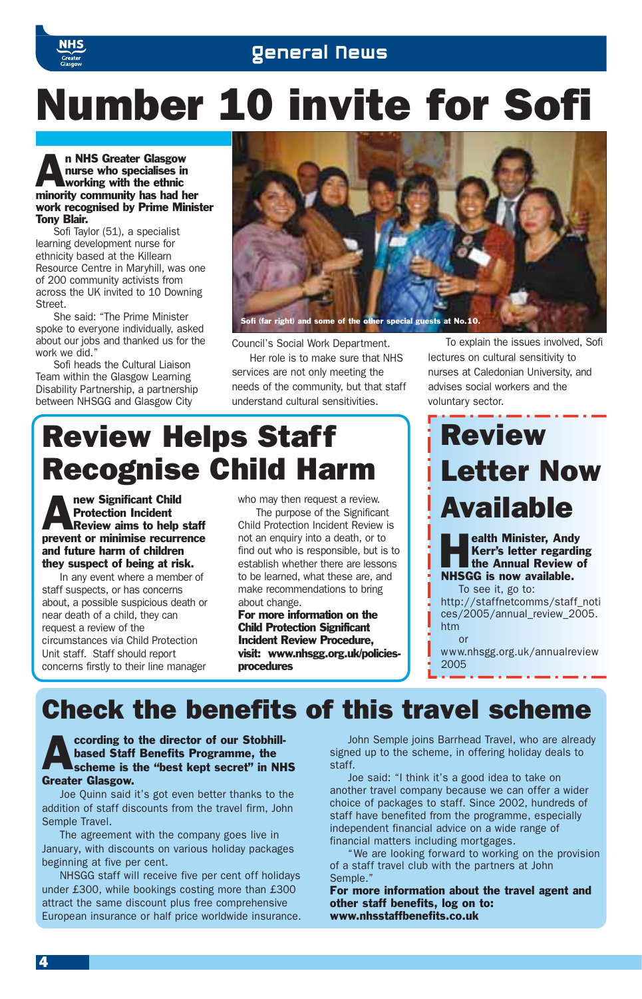

## Number 10 invite for Sofi

#### n NHS Greater Glasgow<br>nurse who specialises in<br>working with the ethnic nurse who specialises in working with the ethnic minority community has had her work recognised by Prime Minister Tony Blair.

Sofi Taylor (51), a specialist learning development nurse for ethnicity based at the Killearn Resource Centre in Maryhill, was one of 200 community activists from across the UK invited to 10 Downing Street.

She said: "The Prime Minister spoke to everyone individually, asked about our jobs and thanked us for the work we did."

Sofi heads the Cultural Liaison Team within the Glasgow Learning Disability Partnership, a partnership between NHSGG and Glasgow City



Council's Social Work Department.

Her role is to make sure that NHS services are not only meeting the needs of the community, but that staff understand cultural sensitivities.

To explain the issues involved, Sofi lectures on cultural sensitivity to nurses at Caledonian University, and advises social workers and the voluntary sector.

## Review Helps Staff Recognise Child Harm

**Anew Significant Child Protection Incident**<br>Review aims to help Protection Incident Review aims to help staff prevent or minimise recurrence and future harm of children they suspect of being at risk.

In any event where a member of staff suspects, or has concerns about, a possible suspicious death or near death of a child, they can request a review of the circumstances via Child Protection Unit staff. Staff should report concerns firstly to their line manager

who may then request a review. The purpose of the Significant Child Protection Incident Review is not an enquiry into a death, or to find out who is responsible, but is to establish whether there are lessons to be learned, what these are, and make recommendations to bring about change.

For more information on the Child Protection Significant Incident Review Procedure, visit: www.nhsgg.org.uk/policiesprocedures

## Review Letter Now Available

**Health Minister, Andy<br>Kerr's letter regarding<br>the Annual Review of<br>MILECC is now revisible** Kerr's letter regarding NHSGG is now available.

To see it, go to: http://staffnetcomms/staff\_noti ces/2005/annual\_review\_2005. htm or

www.nhsgg.org.uk/annualreview 2005

## Check the benefits of this travel scheme

**According to the director of our Stobhill-**<br>
scheme is the "best kept secret" in NHS based Staff Benefits Programme, the Greater Glasgow.

Joe Quinn said it's got even better thanks to the addition of staff discounts from the travel firm, John Semple Travel.

The agreement with the company goes live in January, with discounts on various holiday packages beginning at five per cent.

NHSGG staff will receive five per cent off holidays under £300, while bookings costing more than £300 attract the same discount plus free comprehensive European insurance or half price worldwide insurance.

John Semple joins Barrhead Travel, who are already signed up to the scheme, in offering holiday deals to staff.

Joe said: "I think it's a good idea to take on another travel company because we can offer a wider choice of packages to staff. Since 2002, hundreds of staff have benefited from the programme, especially independent financial advice on a wide range of financial matters including mortgages.

We are looking forward to working on the provision of a staff travel club with the partners at John Semple."

For more information about the travel agent and other staff benefits, log on to: www.nhsstaffbenefits.co.uk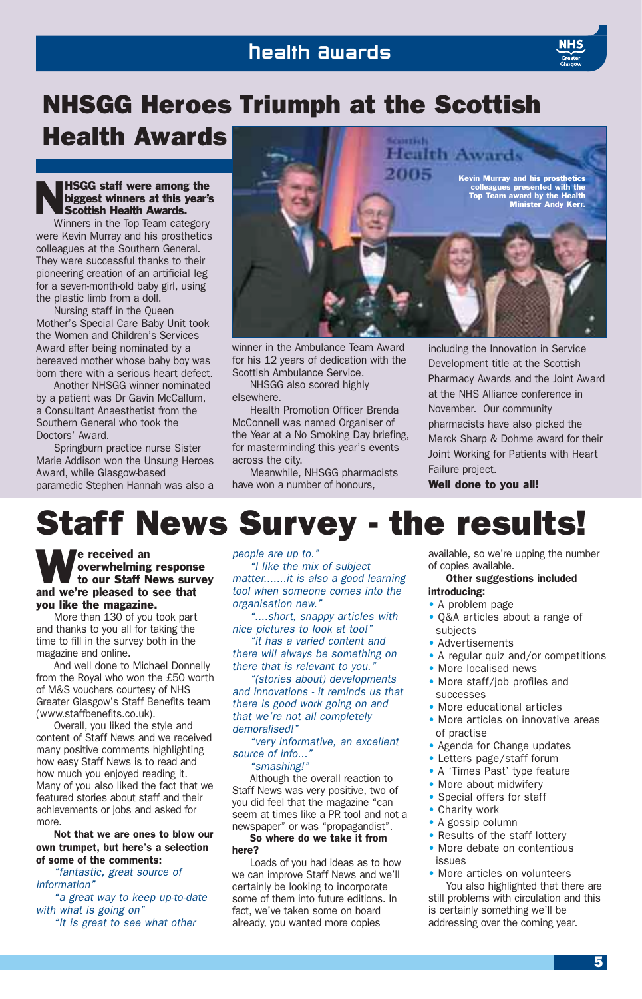## Health Awards

## NHSGG Heroes Triumph at the Scottish

## Health Awards

### HSGG staff were among the<br>biggest winners at this year's<br>Scottish Health Awards. biggest winners at this year's Scottish Health Awards.

Winners in the Top Team category were Kevin Murray and his prosthetics colleagues at the Southern General. They were successful thanks to their pioneering creation of an artificial leg for a seven-month-old baby girl, using the plastic limb from a doll.

Nursing staff in the Queen Mother's Special Care Baby Unit took the Women and Children's Services Award after being nominated by a bereaved mother whose baby boy was born there with a serious heart defect.

Another NHSGG winner nominated by a patient was Dr Gavin McCallum, a Consultant Anaesthetist from the Southern General who took the Doctors' Award.

Springburn practice nurse Sister Marie Addison won the Unsung Heroes Award, while Glasgow-based paramedic Stephen Hannah was also a



winner in the Ambulance Team Award for his 12 years of dedication with the Scottish Ambulance Service.

NHSGG also scored highly elsewhere.

Health Promotion Officer Brenda McConnell was named Organiser of the Year at a No Smoking Day briefing, for masterminding this year's events across the city.

Meanwhile, NHSGG pharmacists have won a number of honours,

including the Innovation in Service Development title at the Scottish Pharmacy Awards and the Joint Award at the NHS Alliance conference in November. Our community pharmacists have also picked the Merck Sharp & Dohme award for their Joint Working for Patients with Heart Failure project.

Well done to you all!

## Staff News Survey - the results!

#### We received an overwhelming<br>to our Staff N overwhelming response to our Staff News survey and we're pleased to see that you like the magazine.

More than 130 of you took part and thanks to you all for taking the time to fill in the survey both in the magazine and online.

And well done to Michael Donnelly from the Royal who won the £50 worth of M&S vouchers courtesy of NHS Greater Glasgow's Staff Benefits team (www.staffbenefits.co.uk).

Overall, you liked the style and content of Staff News and we received many positive comments highlighting how easy Staff News is to read and how much you enjoyed reading it. Many of you also liked the fact that we featured stories about staff and their achievements or jobs and asked for more.

Not that we are ones to blow our own trumpet, but here's a selection of some of the comments:

*"fantastic, great source of information"*

*"a great way to keep up-to-date with what is going on"*

*"It is great to see what other*

*people are up to."*

*"I like the mix of subject matter.......it is also a good learning tool when someone comes into the organisation new."*

*"....short, snappy articles with nice pictures to look at too!" "it has a varied content and*

*there will always be something on there that is relevant to you."*

*"(stories about) developments and innovations - it reminds us that there is good work going on and that we're not all completely demoralised!"*

*"very informative, an excellent source of info..."*

*"smashing!"*

Although the overall reaction to Staff News was very positive, two of you did feel that the magazine "can seem at times like a PR tool and not a newspaper" or was "propagandist".

#### So where do we take it from here?

Loads of you had ideas as to how we can improve Staff News and we'll certainly be looking to incorporate some of them into future editions. In fact, we've taken some on board already, you wanted more copies

available, so we're upping the number of copies available.

#### Other suggestions included

### introducing:

- A problem page
- Q&A articles about a range of subjects
- Advertisements
- A regular quiz and/or competitions
- More localised news
- More staff/job profiles and **SUCCASSES**
- More educational articles
- More articles on innovative areas of practise
- Agenda for Change updates
- Letters page/staff forum
- A 'Times Past' type feature
- More about midwifery
- Special offers for staff
- Charity work
- A gossip column
- Results of the staff lottery
- More debate on contentious issues

• More articles on volunteers You also highlighted that there are still problems with circulation and this is certainly something we'll be addressing over the coming year.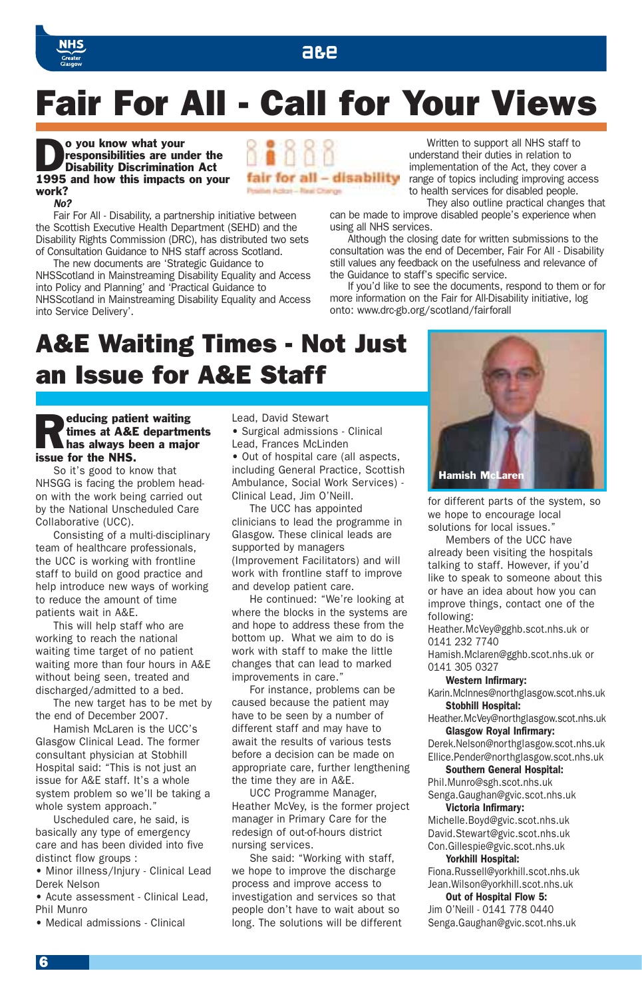## A&E



## Fair For All - Call for Your Views

fair for all - disability

Pesitive Action - Real Change

#### **Do you know what your<br>responsibilities are un<br>Disability Discrimination** responsibilities are under the Disability Discrimination Act 1995 and how this impacts on your work? *No?*

Fair For All - Disability, a partnership initiative between the Scottish Executive Health Department (SEHD) and the Disability Rights Commission (DRC), has distributed two sets of Consultation Guidance to NHS staff across Scotland.

The new documents are 'Strategic Guidance to NHSScotland in Mainstreaming Disability Equality and Access into Policy and Planning' and 'Practical Guidance to NHSScotland in Mainstreaming Disability Equality and Access into Service Delivery'.

Written to support all NHS staff to understand their duties in relation to implementation of the Act, they cover a range of topics including improving access to health services for disabled people.

They also outline practical changes that can be made to improve disabled people's experience when using all NHS services.

Although the closing date for written submissions to the consultation was the end of December, Fair For All - Disability still values any feedback on the usefulness and relevance of the Guidance to staff's specific service.

If you'd like to see the documents, respond to them or for more information on the Fair for All-Disability initiative, log onto: www.drc-gb.org/scotland/fairforall

## A&E Waiting Times - Not Just an Issue for A&E Staff

## **Reducing patient waiting<br>times at A&E department<br>has always been a major** times at A&E departments issue for the NHS.

So it's good to know that NHSGG is facing the problem headon with the work being carried out by the National Unscheduled Care Collaborative (UCC).

Consisting of a multi-disciplinary team of healthcare professionals, the UCC is working with frontline staff to build on good practice and help introduce new ways of working to reduce the amount of time patients wait in A&E.

This will help staff who are working to reach the national waiting time target of no patient waiting more than four hours in A&E without being seen, treated and discharged/admitted to a bed.

The new target has to be met by the end of December 2007.

Hamish McLaren is the UCC's Glasgow Clinical Lead. The former consultant physician at Stobhill Hospital said: "This is not just an issue for A&E staff. It's a whole system problem so we'll be taking a whole system approach."

Uscheduled care, he said, is basically any type of emergency care and has been divided into five distinct flow groups :

• Minor illness/Injury - Clinical Lead Derek Nelson

• Acute assessment - Clinical Lead, Phil Munro

• Medical admissions - Clinical

Lead, David Stewart • Surgical admissions - Clinical Lead, Frances McLinden

• Out of hospital care (all aspects, including General Practice, Scottish Ambulance, Social Work Services) - Clinical Lead, Jim O'Neill.

The UCC has appointed clinicians to lead the programme in Glasgow. These clinical leads are supported by managers (Improvement Facilitators) and will work with frontline staff to improve and develop patient care.

He continued: "We're looking at where the blocks in the systems are and hope to address these from the bottom up. What we aim to do is work with staff to make the little changes that can lead to marked improvements in care."

For instance, problems can be caused because the patient may have to be seen by a number of different staff and may have to await the results of various tests before a decision can be made on appropriate care, further lengthening the time they are in A&E.

UCC Programme Manager, Heather McVey, is the former project manager in Primary Care for the redesign of out-of-hours district nursing services.

She said: "Working with staff, we hope to improve the discharge process and improve access to investigation and services so that people don't have to wait about so long. The solutions will be different



for different parts of the system, so we hope to encourage local solutions for local issues."

Members of the UCC have already been visiting the hospitals talking to staff. However, if you'd like to speak to someone about this or have an idea about how you can improve things, contact one of the following:

Heather.McVey@gghb.scot.nhs.uk or 0141 232 7740

Hamish.Mclaren@gghb.scot.nhs.uk or 0141 305 0327

#### Western Infirmary:

Karin.McInnes@northglasgow.scot.nhs.uk Stobhill Hospital:

Heather.McVey@northglasgow.scot.nhs.uk Glasgow Royal Infirmary:

Derek.Nelson@northglasgow.scot.nhs.uk Ellice.Pender@northglasgow.scot.nhs.uk

### Southern General Hospital:

Phil.Munro@sgh.scot.nhs.uk Senga.Gaughan@gvic.scot.nhs.uk

#### Victoria Infirmary:

Michelle.Boyd@gvic.scot.nhs.uk David.Stewart@gvic.scot.nhs.uk Con.Gillespie@gvic.scot.nhs.uk

### Yorkhill Hospital:

Fiona.Russell@yorkhill.scot.nhs.uk Jean.Wilson@yorkhill.scot.nhs.uk Out of Hospital Flow 5:

Jim O'Neill - 0141 778 0440 Senga.Gaughan@gvic.scot.nhs.uk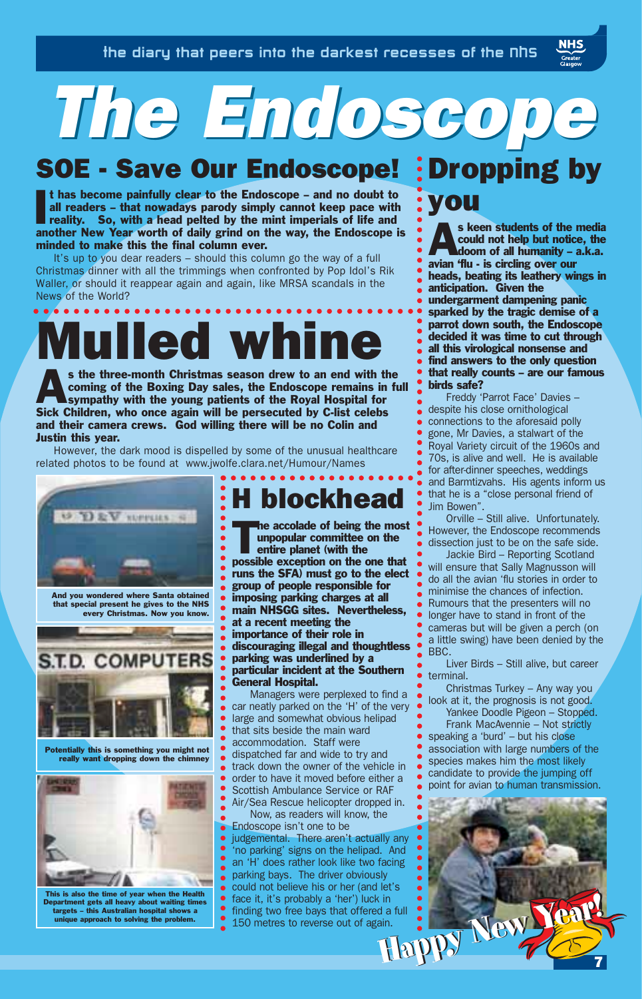# *The Endoscope The Endoscope*

## SOE - Save Our Endoscope! : Dropping by

I t has become painfully clear to the Endoscope – and no doubt to all readers – that nowadays parody simply cannot keep pace with reality. So, with a head pelted by the mint imperials of life and another New Year worth of daily grind on the way, the Endoscope is minded to make this the final column ever.

It's up to you dear readers – should this column go the way of a full Christmas dinner with all the trimmings when confronted by Pop Idol's Rik Waller, or should it reappear again and again, like MRSA scandals in the News of the World?

# **Mulled whine**

s the three-month Christmas season drew to an end with the coming of the Boxing Day sales, the Endoscope remains in function of the Royal Hospital for coming of the Boxing Day sales, the Endoscope remains in full Sick Children, who once again will be persecuted by C-list celebs and their camera crews. God willing there will be no Colin and Justin this year.

However, the dark mood is dispelled by some of the unusual healthcare related photos to be found at www.jwolfe.clara.net/Humour/Names

> $\bullet$  $\bullet$  $\bullet$



And you wondered where Santa obtained that special present he gives to the NHS every Christmas. Now you know.



Potentially this is something you might not really want dropping down the chimney



This is also the time of year when the Health Department gets all heavy about waiting times targets – this Australian hospital shows a unique approach to solving the problem.

## H blockhead

The accolade of being the most<br>unpopular committee on the<br>entire planet (with the<br>most line most hot unpopular committee on the entire planet (with the possible exception on the one that runs the SFA) must go to the elect group of people responsible for imposing parking charges at all main NHSGG sites. Nevertheless, at a recent meeting the importance of their role in discouraging illegal and thoughtless parking was underlined by a particular incident at the Southern General Hospital.

Managers were perplexed to find a car neatly parked on the 'H' of the very large and somewhat obvious helipad that sits beside the main ward accommodation. Staff were dispatched far and wide to try and track down the owner of the vehicle in order to have it moved before either a Scottish Ambulance Service or RAF Air/Sea Rescue helicopter dropped in.

Now, as readers will know, the Endoscope isn't one to be judgemental. There aren't actually any 'no parking' signs on the helipad. And an 'H' does rather look like two facing parking bays. The driver obviously could not believe his or her (and let's face it, it's probably a 'her') luck in finding two free bays that offered a full 150 metres to reverse out of again.

# you

**NHS** 

s keen students of the media<br>could not help but notice, the<br>doom of all humanity – a.k.a. could not help but notice, the avian 'flu - is circling over our heads, beating its leathery wings in anticipation. Given the undergarment dampening panic sparked by the tragic demise of a parrot down south, the Endoscope decided it was time to cut through all this virological nonsense and find answers to the only question that really counts – are our famous birds safe?

Freddy 'Parrot Face' Davies – despite his close ornithological connections to the aforesaid polly gone, Mr Davies, a stalwart of the Royal Variety circuit of the 1960s and 70s, is alive and well. He is available for after-dinner speeches, weddings and Barmtizvahs. His agents inform us that he is a "close personal friend of Jim Bowen".

Orville – Still alive. Unfortunately. However, the Endoscope recommends dissection just to be on the safe side.

Jackie Bird – Reporting Scotland will ensure that Sally Magnusson will do all the avian 'flu stories in order to minimise the chances of infection. Rumours that the presenters will no longer have to stand in front of the cameras but will be given a perch (on a little swing) have been denied by the BBC.

Liver Birds – Still alive, but career terminal.

Christmas Turkey – Any way you look at it, the prognosis is not good.

Yankee Doodle Pigeon – Stopped. Frank MacAvennie – Not strictly speaking a 'burd' – but his close association with large numbers of the species makes him the most likely

candidate to provide the jumping off point for avian to human transmission.

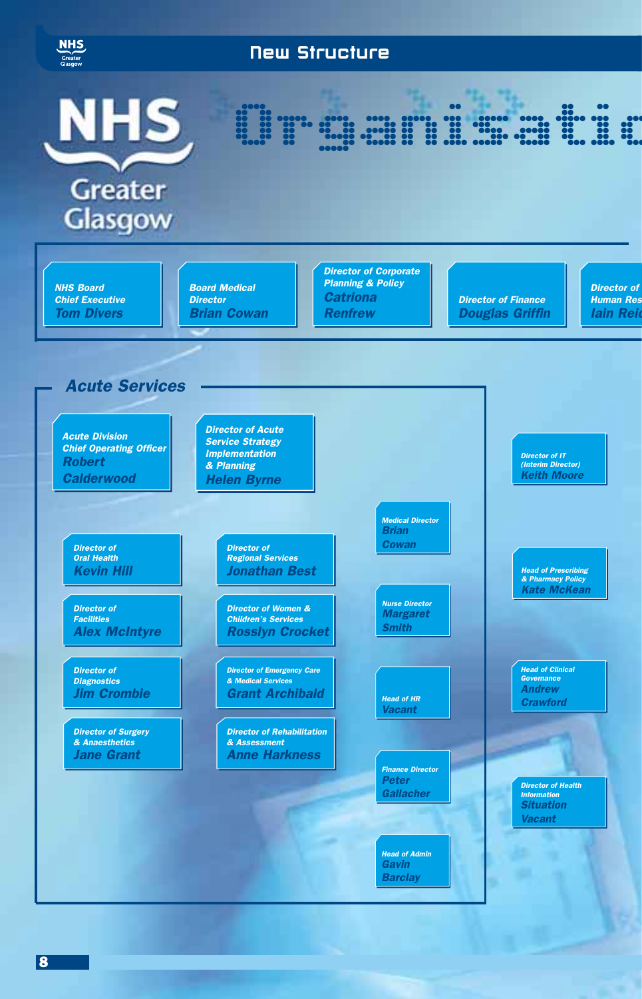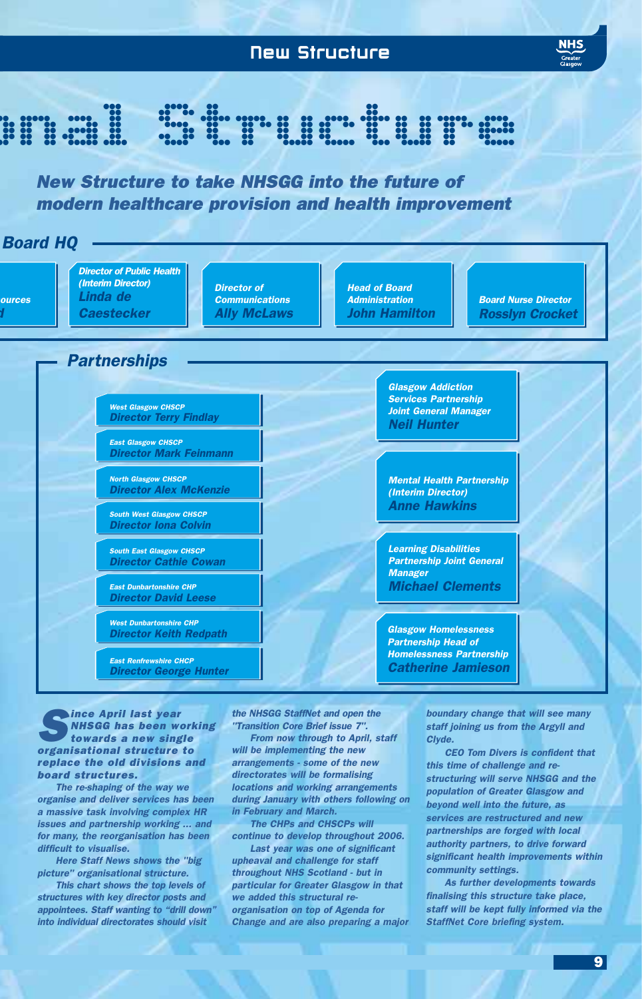

**Aince April last year** *NHSGG has been working towards a new single organisational structure to replace the old divisions and board structures.*

*The re-shaping of the way we organise and deliver services has been a massive task involving complex HR issues and partnership working ... and for many, the reorganisation has been difficult to visualise.*

*Here Staff News shows the "big picture" organisational structure.*

*This chart shows the top levels of structures with key director posts and appointees. Staff wanting to "drill down" into individual directorates should visit*

*the NHSGG StaffNet and open the "Transition Core Brief issue 7".*

*From now through to April, staff will be implementing the new arrangements - some of the new directorates will be formalising locations and working arrangements during January with others following on in February and March.*

*The CHPs and CHSCPs will continue to develop throughout 2006.*

*Last year was one of significant upheaval and challenge for staff throughout NHS Scotland - but in particular for Greater Glasgow in that we added this structural reorganisation on top of Agenda for Change and are also preparing a major* *boundary change that will see many staff joining us from the Argyll and Clyde.*

*CEO Tom Divers is confident that this time of challenge and restructuring will serve NHSGG and the population of Greater Glasgow and beyond well into the future, as services are restructured and new partnerships are forged with local authority partners, to drive forward significant health improvements within community settings.*

*As further developments towards finalising this structure take place, staff will be kept fully informed via the StaffNet Core briefing system.*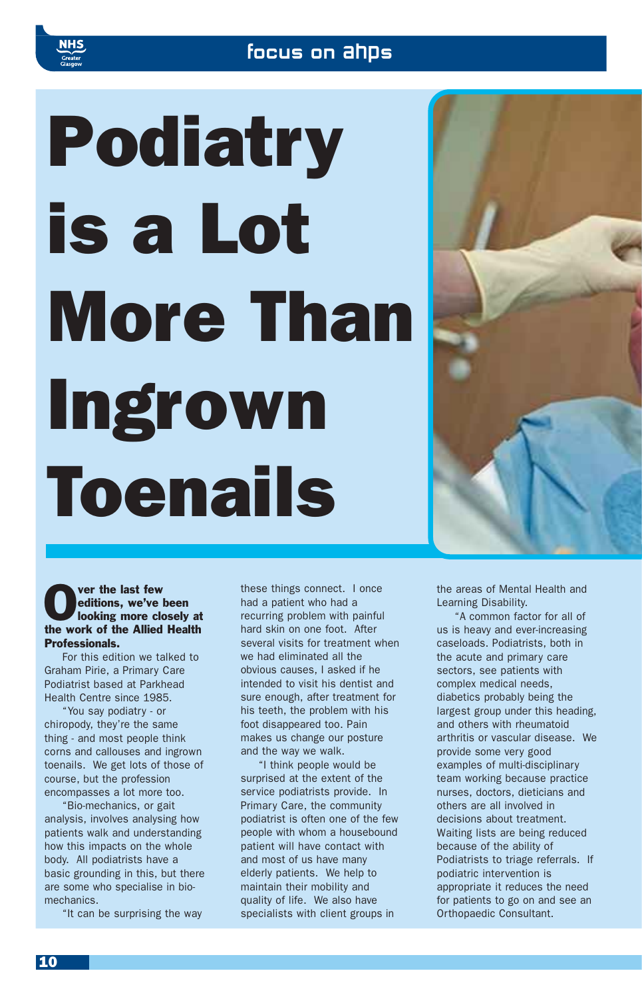## focus on ahps

# Podiatry is a Lot More Than Ingrown Toenails



### **Over the last few editions, we've looking more clean** editions, we've been looking more closely at the work of the Allied Health Professionals.

For this edition we talked to Graham Pirie, a Primary Care Podiatrist based at Parkhead Health Centre since 1985.

"You say podiatry - or chiropody, they're the same thing - and most people think corns and callouses and ingrown toenails. We get lots of those of course, but the profession encompasses a lot more too.

"Bio-mechanics, or gait analysis, involves analysing how patients walk and understanding how this impacts on the whole body. All podiatrists have a basic grounding in this, but there are some who specialise in biomechanics.

"It can be surprising the way

these things connect. I once had a patient who had a recurring problem with painful hard skin on one foot. After several visits for treatment when we had eliminated all the obvious causes, I asked if he intended to visit his dentist and sure enough, after treatment for his teeth, the problem with his foot disappeared too. Pain makes us change our posture and the way we walk.

"I think people would be surprised at the extent of the service podiatrists provide. In Primary Care, the community podiatrist is often one of the few people with whom a housebound patient will have contact with and most of us have many elderly patients. We help to maintain their mobility and quality of life. We also have specialists with client groups in

the areas of Mental Health and Learning Disability.

"A common factor for all of us is heavy and ever-increasing caseloads. Podiatrists, both in the acute and primary care sectors, see patients with complex medical needs, diabetics probably being the largest group under this heading, and others with rheumatoid arthritis or vascular disease. We provide some very good examples of multi-disciplinary team working because practice nurses, doctors, dieticians and others are all involved in decisions about treatment. Waiting lists are being reduced because of the ability of Podiatrists to triage referrals. If podiatric intervention is appropriate it reduces the need for patients to go on and see an Orthopaedic Consultant.

10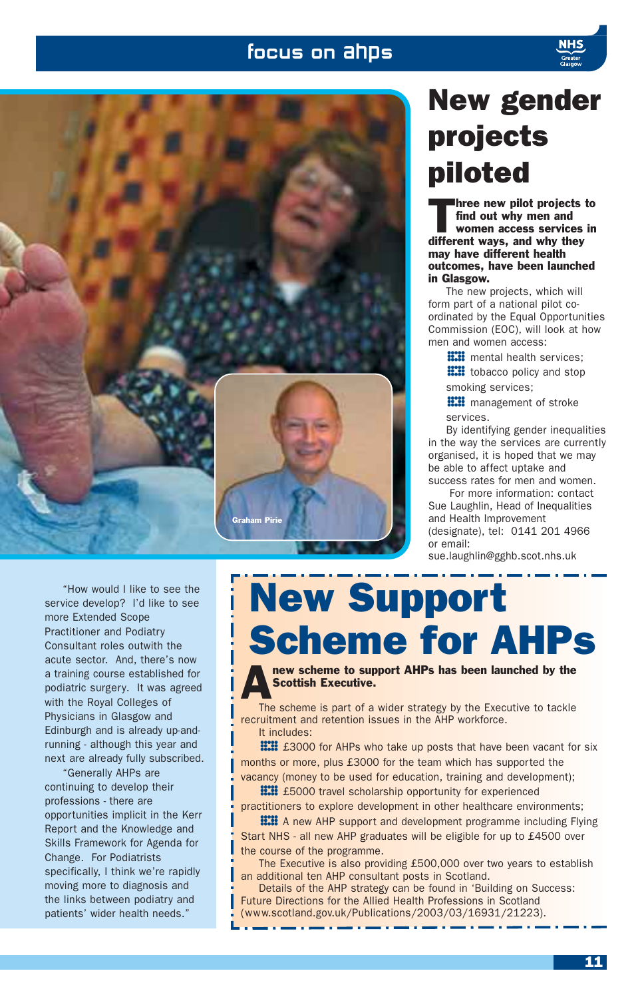## focus on ahps





## New gender projects piloted

hree new pilot projects to find out why men and women access services in different ways, and why they may have different health outcomes, have been launched in Glasgow.

The new projects, which will form part of a national pilot coordinated by the Equal Opportunities Commission (EOC), will look at how men and women access:

**EXE** mental health services;<br>**EXE** tobacco policy and stop<br>smoking services: **HH** tobacco policy and stop<br>smoking services;<br>**HH** management of stroke smoking services;

**!!!!!** management of stroke<br>services.<br>By identifying gender inequalities services.

in the way the services are currently organised, it is hoped that we may be able to affect uptake and success rates for men and women.

For more information: contact Sue Laughlin, Head of Inequalities and Health Improvement (designate), tel: 0141 201 4966 or email:

sue.laughlin@gghb.scot.nhs.uk

"How would I like to see the service develop? I'd like to see more Extended Scope Practitioner and Podiatry Consultant roles outwith the acute sector. And, there's now a training course established for podiatric surgery. It was agreed with the Royal Colleges of Physicians in Glasgow and Edinburgh and is already up-andrunning - although this year and next are already fully subscribed.

"Generally AHPs are continuing to develop their professions - there are opportunities implicit in the Kerr Report and the Knowledge and Skills Framework for Agenda for Change. For Podiatrists specifically, I think we're rapidly moving more to diagnosis and the links between podiatry and patients' wider health needs."

## New Support Scheme for AHPs

new scheme to support AHPs has been launched by the Scottish Executive.

The scheme is part of a wider strategy by the Executive to tackle recruitment and retention issues in the AHP workforce. It includes:

**E23000** for AHPs who take up posts that have been vacant for six months or more, plus £3000 for the team which has supported the vacancy (money to be used for education, training and development); months or more, plus £3000 for the team which has supported the

**###** £5000 travel scholarship opportunity for experienced<br>titioners to explore development in other healthcare environments;<br>**###** A new AHP support and development programme including Flying practitioners to explore development in other healthcare environments;

**HH** A new AHP support and development programme including Flying<br>
rt NHS - all new AHP graduates will be eligible for up to £4500 over<br>
course of the programme. Start NHS - all new AHP graduates will be eligible for up to £4500 over the course of the programme.

The Executive is also providing £500,000 over two years to establish an additional ten AHP consultant posts in Scotland.

Details of the AHP strategy can be found in 'Building on Success: Future Directions for the Allied Health Professions in Scotland (www.scotland.gov.uk/Publications/2003/03/16931/21223).

11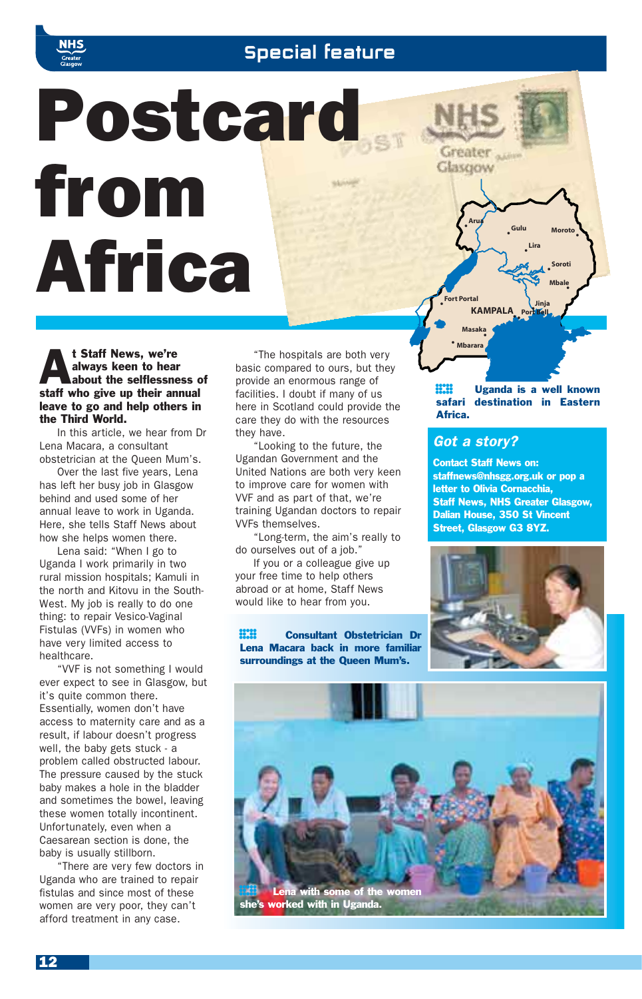

## **Special feature**

# Postcard from Africa

At Staff News, we're about the selflessness of always keen to hear staff who give up their annual leave to go and help others in the Third World.

In this article, we hear from Dr Lena Macara, a consultant obstetrician at the Queen Mum's.

Over the last five years, Lena has left her busy job in Glasgow behind and used some of her annual leave to work in Uganda. Here, she tells Staff News about how she helps women there.

Lena said: "When I go to Uganda I work primarily in two rural mission hospitals; Kamuli in the north and Kitovu in the South-West. My job is really to do one thing: to repair Vesico-Vaginal Fistulas (VVFs) in women who have very limited access to healthcare.

"VVF is not something I would ever expect to see in Glasgow, but it's quite common there. Essentially, women don't have access to maternity care and as a result, if labour doesn't progress well, the baby gets stuck - a problem called obstructed labour. The pressure caused by the stuck baby makes a hole in the bladder and sometimes the bowel, leaving these women totally incontinent. Unfortunately, even when a Caesarean section is done, the baby is usually stillborn.

There are very few doctors in Uganda who are trained to repair fistulas and since most of these women are very poor, they can't afford treatment in any case.

"The hospitals are both very basic compared to ours, but they provide an enormous range of facilities. I doubt if many of us here in Scotland could provide the care they do with the resources they have.

"Looking to the future, the Ugandan Government and the United Nations are both very keen to improve care for women with VVF and as part of that, we're training Ugandan doctors to repair VVFs themselves.

"Long-term, the aim's really to do ourselves out of a job."

If you or a colleague give up your free time to help others abroad or at home, Staff News would like to hear from you.

**H.H.** Consultant Obstetrician Dr<br>Lena Macara back in more familiar<br>surroundings at the Queen Mum's. Lena Macara back in more familiar surroundings at the Queen Mum's.

**ECH** Uganda is a well known<br>safari destination in Eastern<br>Africa. safari destination in Eastern Africa.

**• Gulu •**

**Lira**

**Jinja Port Bell • ••**

**•**

**Moroto**

**•**

**Soroti Mbale •**

**•**

## *Got a story?*

**KAMPALA**

**Masaka Mbarara**

**Arua**

Greater<sub>a</sub> Glasgow

**• •**

**Fort Portal**

**•**

Contact Staff News on: staffnews@nhsgg.org.uk or pop a letter to Olivia Cornacchia, Staff News, NHS Greater Glasgow, Dalian House, 350 St Vincent Street, Glasgow G3 8YZ.



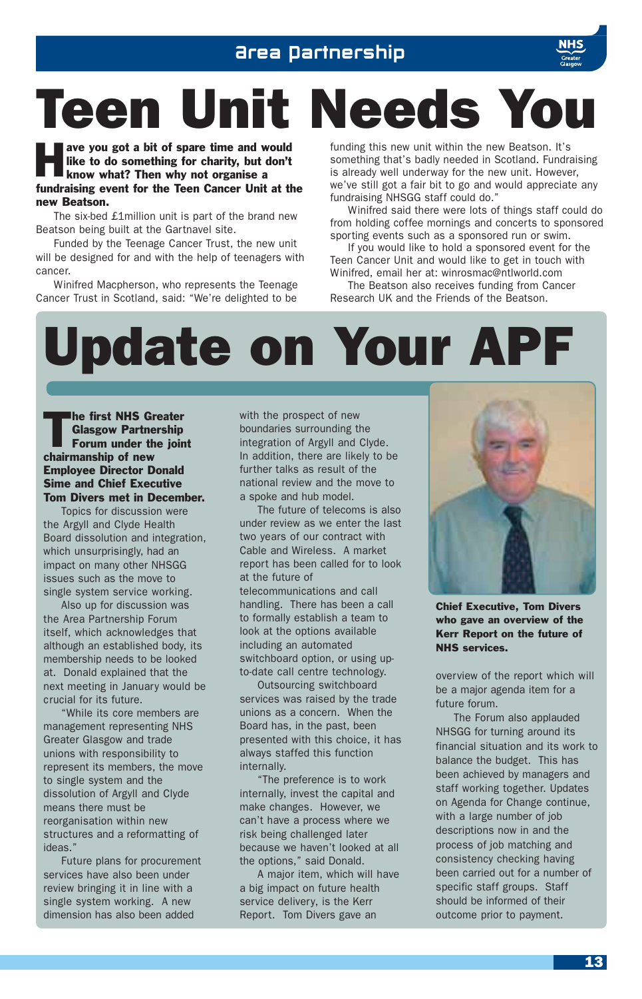## Area Partnership



# Teen Unit Needs You

ave you got a bit of spare time and would<br>like to do something for charity, but don't<br>know what? Then why not organise a like to do something for charity, but don't know what? Then why not organise a fundraising event for the Teen Cancer Unit at the new Beatson.

The six-bed £1million unit is part of the brand new Beatson being built at the Gartnavel site.

Funded by the Teenage Cancer Trust, the new unit will be designed for and with the help of teenagers with cancer.

Winifred Macpherson, who represents the Teenage Cancer Trust in Scotland, said: "We're delighted to be funding this new unit within the new Beatson. It's something that's badly needed in Scotland. Fundraising is already well underway for the new unit. However, we've still got a fair bit to go and would appreciate any fundraising NHSGG staff could do."

Winifred said there were lots of things staff could do from holding coffee mornings and concerts to sponsored sporting events such as a sponsored run or swim.

If you would like to hold a sponsored event for the Teen Cancer Unit and would like to get in touch with Winifred, email her at: winrosmac@ntlworld.com

The Beatson also receives funding from Cancer Research UK and the Friends of the Beatson.

# Update on Your APF

The first NHS Greater<br>
Glasgow Partnership<br>
Forum under the joint Glasgow Partnership chairmanship of new Employee Director Donald Sime and Chief Executive Tom Divers met in December.

Topics for discussion were the Argyll and Clyde Health Board dissolution and integration, which unsurprisingly, had an impact on many other NHSGG issues such as the move to single system service working.

Also up for discussion was the Area Partnership Forum itself, which acknowledges that although an established body, its membership needs to be looked at. Donald explained that the next meeting in January would be crucial for its future.

"While its core members are management representing NHS Greater Glasgow and trade unions with responsibility to represent its members, the move to single system and the dissolution of Argyll and Clyde means there must be reorganisation within new structures and a reformatting of ideas."

Future plans for procurement services have also been under review bringing it in line with a single system working. A new dimension has also been added

with the prospect of new boundaries surrounding the integration of Argyll and Clyde. In addition, there are likely to be further talks as result of the national review and the move to a spoke and hub model.

The future of telecoms is also under review as we enter the last two years of our contract with Cable and Wireless. A market report has been called for to look at the future of

telecommunications and call handling. There has been a call to formally establish a team to look at the options available including an automated switchboard option, or using upto-date call centre technology.

Outsourcing switchboard services was raised by the trade unions as a concern. When the Board has, in the past, been presented with this choice, it has always staffed this function internally.

"The preference is to work internally, invest the capital and make changes. However, we can't have a process where we risk being challenged later because we haven't looked at all the options," said Donald.

A major item, which will have a big impact on future health service delivery, is the Kerr Report. Tom Divers gave an



Chief Executive, Tom Divers who gave an overview of the Kerr Report on the future of NHS services.

overview of the report which will be a major agenda item for a future forum.

The Forum also applauded NHSGG for turning around its financial situation and its work to balance the budget. This has been achieved by managers and staff working together. Updates on Agenda for Change continue, with a large number of job descriptions now in and the process of job matching and consistency checking having been carried out for a number of specific staff groups. Staff should be informed of their outcome prior to payment.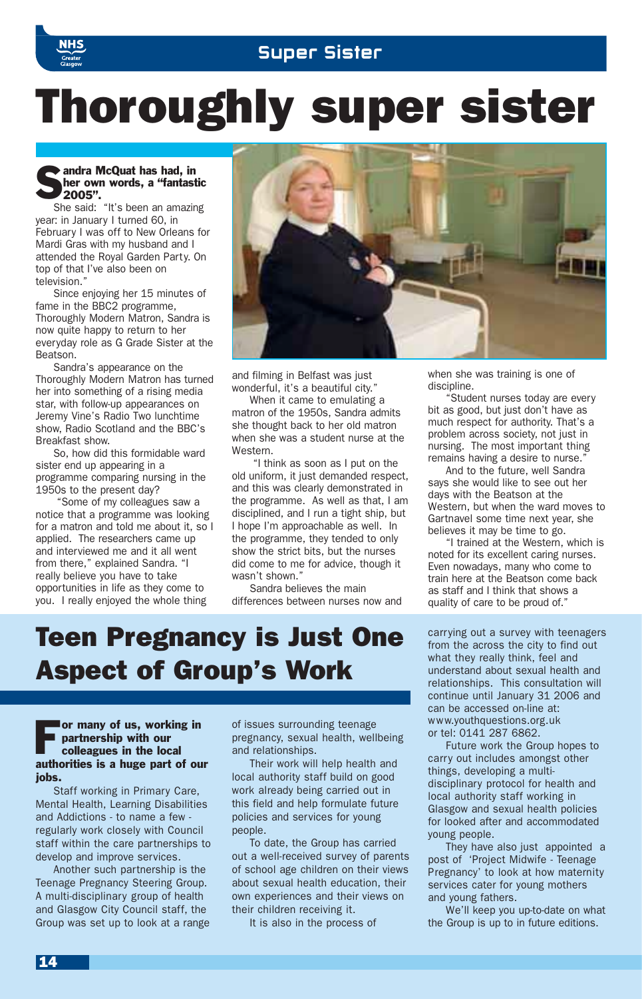

## Thoroughly super sister

### **Sandra McQuat has had, in**<br>Sher own words, a "fantast"<br>2005". her own words, a "fantastic 2005".

She said: "It's been an amazing year: in January I turned 60, in February I was off to New Orleans for Mardi Gras with my husband and I attended the Royal Garden Party. On top of that I've also been on television."

Since enjoying her 15 minutes of fame in the BBC2 programme, Thoroughly Modern Matron, Sandra is now quite happy to return to her everyday role as G Grade Sister at the Beatson.

Sandra's appearance on the Thoroughly Modern Matron has turned her into something of a rising media star, with follow-up appearances on Jeremy Vine's Radio Two lunchtime show, Radio Scotland and the BBC's Breakfast show.

So, how did this formidable ward sister end up appearing in a programme comparing nursing in the 1950s to the present day?

"Some of my colleagues saw a notice that a programme was looking for a matron and told me about it, so I applied. The researchers came up and interviewed me and it all went from there," explained Sandra. "I really believe you have to take opportunities in life as they come to you. I really enjoyed the whole thing



and filming in Belfast was just wonderful, it's a beautiful city."

When it came to emulating a matron of the 1950s, Sandra admits she thought back to her old matron when she was a student nurse at the Western.

"I think as soon as I put on the old uniform, it just demanded respect, and this was clearly demonstrated in the programme. As well as that, I am disciplined, and I run a tight ship, but I hope I'm approachable as well. In the programme, they tended to only show the strict bits, but the nurses did come to me for advice, though it wasn't shown "

Sandra believes the main differences between nurses now and

## Teen Pregnancy is Just One Aspect of Group's Work

#### For many of us, working in partnership with our colleagues in the local authorities is a huge part of our jobs.

Staff working in Primary Care, Mental Health, Learning Disabilities and Addictions - to name a few regularly work closely with Council staff within the care partnerships to develop and improve services.

Another such partnership is the Teenage Pregnancy Steering Group. A multi-disciplinary group of health and Glasgow City Council staff, the Group was set up to look at a range of issues surrounding teenage pregnancy, sexual health, wellbeing and relationships.

Their work will help health and local authority staff build on good work already being carried out in this field and help formulate future policies and services for young people.

To date, the Group has carried out a well-received survey of parents of school age children on their views about sexual health education, their own experiences and their views on their children receiving it.

It is also in the process of

when she was training is one of discipline.

"Student nurses today are every bit as good, but just don't have as much respect for authority. That's a problem across society, not just in nursing. The most important thing remains having a desire to nurse.

And to the future, well Sandra says she would like to see out her days with the Beatson at the Western, but when the ward moves to Gartnavel some time next year, she believes it may be time to go.

"I trained at the Western, which is noted for its excellent caring nurses. Even nowadays, many who come to train here at the Beatson come back as staff and I think that shows a quality of care to be proud of."

carrying out a survey with teenagers from the across the city to find out what they really think, feel and understand about sexual health and relationships. This consultation will continue until January 31 2006 and can be accessed on-line at: www.youthquestions.org.uk or tel: 0141 287 6862.

Future work the Group hopes to carry out includes amongst other things, developing a multidisciplinary protocol for health and local authority staff working in Glasgow and sexual health policies for looked after and accommodated young people.

They have also just appointed a post of 'Project Midwife - Teenage Pregnancy' to look at how maternity services cater for young mothers and young fathers.

We'll keep you up-to-date on what the Group is up to in future editions.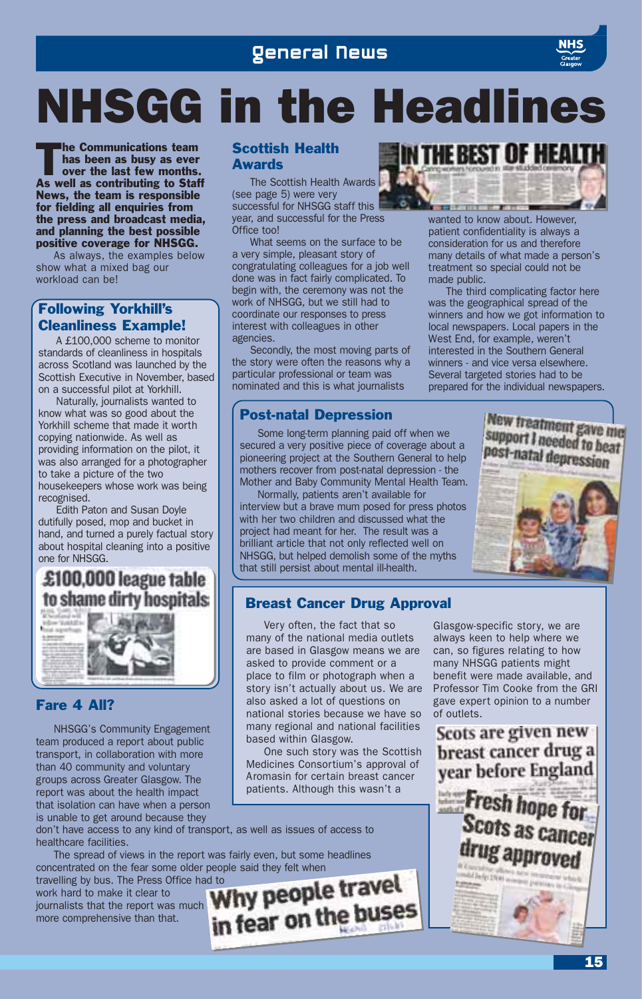## NHSGG in the Headlines

The Communications team<br>has been as busy as ever<br>over the last few months. has been as busy as ever As well as contributing to Staff News, the team is responsible for fielding all enquiries from the press and broadcast media, and planning the best possible positive coverage for NHSGG.

As always, the examples below show what a mixed bag our workload can be!

## Following Yorkhill's Cleanliness Example!

A £100,000 scheme to monitor standards of cleanliness in hospitals across Scotland was launched by the Scottish Executive in November, based on a successful pilot at Yorkhill.

Naturally, journalists wanted to know what was so good about the Yorkhill scheme that made it worth copying nationwide. As well as providing information on the pilot, it was also arranged for a photographer to take a picture of the two housekeepers whose work was being recognised.

Edith Paton and Susan Doyle dutifully posed, mop and bucket in hand, and turned a purely factual story about hospital cleaning into a positive one for NHSGG.

## £100,000 league table to shame dirty hospitals



## Fare 4 All?

NHSGG's Community Engagement team produced a report about public transport, in collaboration with more than 40 community and voluntary groups across Greater Glasgow. The report was about the health impact that isolation can have when a person is unable to get around because they

don't have access to any kind of transport, as well as issues of access to healthcare facilities.

The spread of views in the report was fairly even, but some headlines concentrated on the fear some older people said they felt when

travelling by bus. The Press Office had to work hard to make it clear to in fear on the buses journalists that the report was much more comprehensive than that.

## Scottish Health **Awards**

The Scottish Health Awards (see page 5) were very successful for NHSGG staff this year, and successful for the Press Office too!

What seems on the surface to be a very simple, pleasant story of congratulating colleagues for a job well done was in fact fairly complicated. To begin with, the ceremony was not the work of NHSGG, but we still had to coordinate our responses to press interest with colleagues in other agencies.

Secondly, the most moving parts of the story were often the reasons why a particular professional or team was nominated and this is what journalists

## Post-natal Depression

Some long-term planning paid off when we secured a very positive piece of coverage about a pioneering project at the Southern General to help mothers recover from post-natal depression - the Mother and Baby Community Mental Health Team.

Normally, patients aren't available for interview but a brave mum posed for press photos with her two children and discussed what the project had meant for her. The result was a brilliant article that not only reflected well on NHSGG, but helped demolish some of the myths that still persist about mental ill-health.

## **IN THE BEST OF HEA THE OWNER MARINE** wanted to know about. However, patient confidentiality is always a

consideration for us and therefore many details of what made a person's treatment so special could not be made public.

The third complicating factor here was the geographical spread of the winners and how we got information to local newspapers. Local papers in the West End, for example, weren't interested in the Southern General winners - and vice versa elsewhere. Several targeted stories had to be prepared for the individual newspapers.

## New treatment gave me support I needed to beat post-natal depression



## Breast Cancer Drug Approval

Very often, the fact that so many of the national media outlets are based in Glasgow means we are asked to provide comment or a place to film or photograph when a story isn't actually about us. We are also asked a lot of questions on national stories because we have so many regional and national facilities based within Glasgow.

One such story was the Scottish Medicines Consortium's approval of Aromasin for certain breast cancer patients. Although this wasn't a

Glasgow-specific story, we are always keen to help where we can, so figures relating to how many NHSGG patients might benefit were made available, and Professor Tim Cooke from the GRI gave expert opinion to a number of outlets.